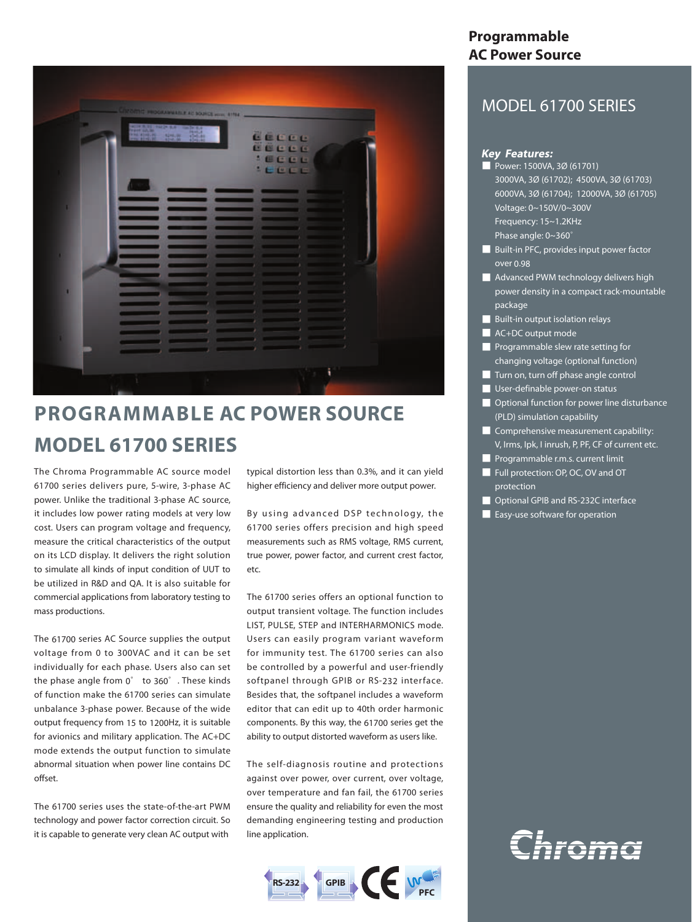

# **PROGRAMMABLE AC POWER SOURCE MODEL 61700 SERIES**

The Chroma Programmable AC source model 61700 series delivers pure, 5-wire, 3-phase AC power. Unlike the traditional 3-phase AC source, it includes low power rating models at very low cost. Users can program voltage and frequency, measure the critical characteristics of the output on its LCD display. It delivers the right solution to simulate all kinds of input condition of UUT to be utilized in R&D and QA. It is also suitable for commercial applications from laboratory testing to mass productions.

The 61700 series AC Source supplies the output voltage from 0 to 300VAC and it can be set individually for each phase. Users also can set the phase angle from 0° to 360°. These kinds of function make the 61700 series can simulate unbalance 3-phase power. Because of the wide output frequency from 15 to 1200Hz, it is suitable for avionics and military application. The AC+DC mode extends the output function to simulate abnormal situation when power line contains DC offset.

The 61700 series uses the state-of-the-art PWM technology and power factor correction circuit. So it is capable to generate very clean AC output with

typical distortion less than 0.3%, and it can yield higher efficiency and deliver more output power.

By using advanced DSP technology, the 61700 series offers precision and high speed measurements such as RMS voltage, RMS current, true power, power factor, and current crest factor, etc.

The 61700 series offers an optional function to output transient voltage. The function includes LIST, PULSE, STEP and INTERHARMONICS mode. Users can easily program variant waveform for immunity test. The 61700 series can also be controlled by a powerful and user-friendly softpanel through GPIB or RS-232 interface. Besides that, the softpanel includes a waveform editor that can edit up to 40th order harmonic components. By this way, the 61700 series get the ability to output distorted waveform as users like.

The self-diagnosis routine and protections against over power, over current, over voltage, over temperature and fan fail, the 61700 series ensure the quality and reliability for even the most demanding engineering testing and production line application.



### **Programmable AC Power Source**

## MODEL 61700 SERIES

### **Key Features:**

- Power: 1500VA, 3Ø (61701) 3000VA, 3Ø (61702); 4500VA, 3Ø (61703) 6000VA, 3Ø (61704); 12000VA, 3Ø (61705) Voltage: 0~150V/0~300V Frequency: 15~1.2KHz Phase angle: 0~360°
- 
- Built-in PFC, provides input power factor over 0.98
- Advanced PWM technology delivers high power density in a compact rack-mountable package
- Built-in output isolation relays
- **AC+DC** output mode
- Programmable slew rate setting for changing voltage (optional function)
- **■** Turn on, turn off phase angle control
- User-definable power-on status
- Optional function for power line disturbance (PLD) simulation capability
- **■** Comprehensive measurement capability: V, Irms, Ipk, I inrush, P, PF, CF of current etc.
- **■** Programmable r.m.s. current limit
- Full protection: OP, OC, OV and OT protection
- Optional GPIB and RS-232C interface
- Easy-use software for operation

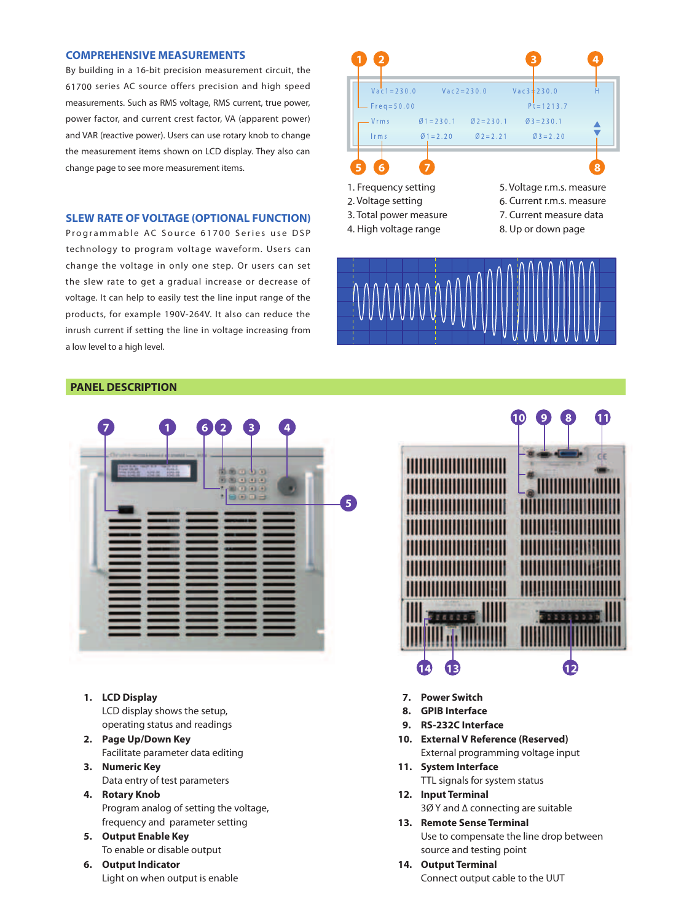#### **1 COMPREHENSIVE MEASUREMENTS**

By building in a 16-bit precision measurement circuit, the 61700 series AC source offers precision and high speed measurements. Such as RMS voltage, RMS current, true power, power factor, and current crest factor, VA (apparent power) and VAR (reactive power). Users can use rotary knob to change the measurement items shown on LCD display. They also can change page to see more measurement items.

#### **SLEW RATE OF VOLTAGE (OPTIONAL FUNCTION)**

Programmable AC Source 61700 Series use DSP technology to program voltage waveform. Users can change the voltage in only one step. Or users can set the slew rate to get a gradual increase or decrease of voltage. It can help to easily test the line input range of the products, for example 190V-264V. It also can reduce the inrush current if setting the line in voltage increasing from a low level to a high level.



- 1. Frequency setting
- 2. Voltage setting
- 3. Total power measure
- 4. High voltage range

5. Voltage r.m.s. measure 6. Current r.m.s. measure 7. Current measure data 8. Up or down page



#### **PANEL DESCRIPTION**



- **1. LCD Display** LCD display shows the setup, operating status and readings
- **2. Page Up/Down Key** Facilitate parameter data editing
- **3. Numeric Key** Data entry of test parameters
- **4. Rotary Knob** Program analog of setting the voltage, frequency and parameter setting
- **5. Output Enable Key** To enable or disable output
- **6. Output Indicator** Light on when output is enable



- **7. Power Switch**
- **8. GPIB Interface**
- **9. RS-232C Interface**
- **10. External V Reference (Reserved)** External programming voltage input
- **11. System Interface** TTL signals for system status
- **12. Input Terminal** 3Ø Y and ∆ connecting are suitable
- **13. Remote Sense Terminal** Use to compensate the line drop between
	- source and testing point
- **14. Output Terminal** Connect output cable to the UUT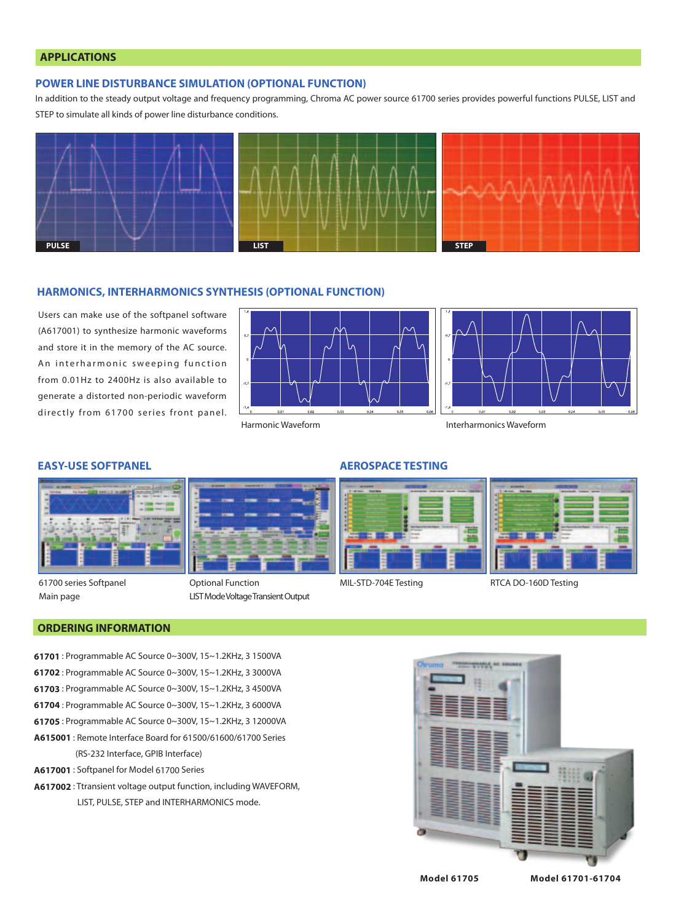#### **APPLICATIONS**

#### **POWER LINE DISTURBANCE SIMULATION (OPTIONAL FUNCTION)**

In addition to the steady output voltage and frequency programming, Chroma AC power source 61700 series provides powerful functions PULSE, LIST and STEP to simulate all kinds of power line disturbance conditions.



#### **HARMONICS, INTERHARMONICS SYNTHESIS (OPTIONAL FUNCTION)**

Users can make use of the softpanel software (A617001) to synthesize harmonic waveforms and store it in the memory of the AC source. An interharmonic sweeping function from 0.01Hz to 2400Hz is also available to generate a distorted non-periodic waveform directly from 61700 series front panel.



Interharmonics Waveform



61700 series Softpanel Main page



LIST Mode Voltage Transient Output

#### **EASY-USE SOFTPANEL AEROSPACE TESTING**



MIL-STD-704E Testing RTCA DO-160D Testing

#### **ORDERING INFORMATION**

- **61701** : Programmable AC Source 0~300V, 15~1.2KHz, 3 1500VA
- **61702** : Programmable AC Source 0~300V, 15~1.2KHz, 3 3000VA
- **61703** : Programmable AC Source 0~300V, 15~1.2KHz, 3 4500VA
- **61704** : Programmable AC Source 0~300V, 15~1.2KHz, 3 6000VA
- **61705** : Programmable AC Source 0~300V, 15~1.2KHz, 3 12000VA
- **A615001** : Remote Interface Board for 61500/61600/61700 Series (RS-232 Interface, GPIB Interface)
- **A617001** : Softpanel for Model 61700 Series
- **A617002** : Ttransient voltage output function, including WAVEFORM, LIST, PULSE, STEP and INTERHARMONICS mode.



**Model 61705 Model 61701-61704**